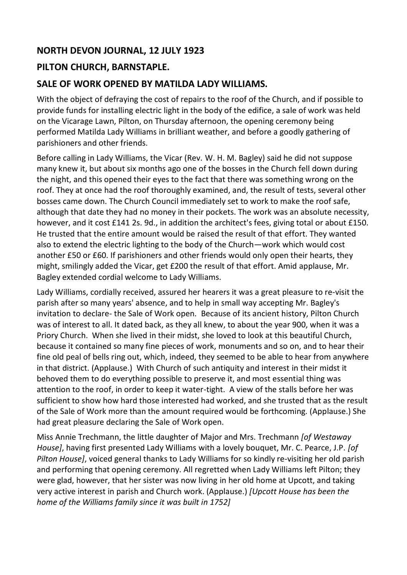## **NORTH DEVON JOURNAL, 12 JULY 1923**

## **PILTON CHURCH, BARNSTAPLE.**

## **SALE OF WORK OPENED BY MATILDA LADY WILLIAMS.**

With the object of defraying the cost of repairs to the roof of the Church, and if possible to provide funds for installing electric light in the body of the edifice, a sale of work was held on the Vicarage Lawn, Pilton, on Thursday afternoon, the opening ceremony being performed Matilda Lady Williams in brilliant weather, and before a goodly gathering of parishioners and other friends.

Before calling in Lady Williams, the Vicar (Rev. W. H. M. Bagley) said he did not suppose many knew it, but about six months ago one of the bosses in the Church fell down during the night, and this opened their eyes to the fact that there was something wrong on the roof. They at once had the roof thoroughly examined, and, the result of tests, several other bosses came down. The Church Council immediately set to work to make the roof safe, although that date they had no money in their pockets. The work was an absolute necessity, however, and it cost £141 2s. 9d., in addition the architect's fees, giving total or about £150. He trusted that the entire amount would be raised the result of that effort. They wanted also to extend the electric lighting to the body of the Church—work which would cost another £50 or £60. If parishioners and other friends would only open their hearts, they might, smilingly added the Vicar, get £200 the result of that effort. Amid applause, Mr. Bagley extended cordial welcome to Lady Williams.

Lady Williams, cordially received, assured her hearers it was a great pleasure to re-visit the parish after so many years' absence, and to help in small way accepting Mr. Bagley's invitation to declare- the Sale of Work open. Because of its ancient history, Pilton Church was of interest to all. It dated back, as they all knew, to about the year 900, when it was a Priory Church. When she lived in their midst, she loved to look at this beautiful Church, because it contained so many fine pieces of work, monuments and so on, and to hear their fine old peal of bells ring out, which, indeed, they seemed to be able to hear from anywhere in that district. (Applause.) With Church of such antiquity and interest in their midst it behoved them to do everything possible to preserve it, and most essential thing was attention to the roof, in order to keep it water-tight. A view of the stalls before her was sufficient to show how hard those interested had worked, and she trusted that as the result of the Sale of Work more than the amount required would be forthcoming. (Applause.) She had great pleasure declaring the Sale of Work open.

Miss Annie Trechmann, the little daughter of Major and Mrs. Trechmann *[of Westaway House]*, having first presented Lady Williams with a lovely bouquet, Mr. C. Pearce, J.P. *[of Pilton House]*, voiced general thanks to Lady Williams for so kindly re-visiting her old parish and performing that opening ceremony. All regretted when Lady Williams left Pilton; they were glad, however, that her sister was now living in her old home at Upcott, and taking very active interest in parish and Church work. (Applause.) *[Upcott House has been the home of the Williams family since it was built in 1752]*